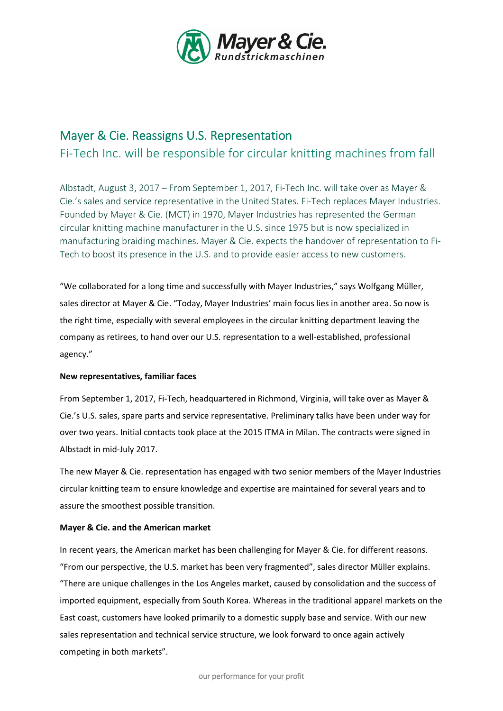

# Mayer & Cie. Reassigns U.S. Representation

Fi-Tech Inc. will be responsible for circular knitting machines from fall

Albstadt, August 3, 2017 – From September 1, 2017, Fi-Tech Inc. will take over as Mayer & Cie.'s sales and service representative in the United States. Fi-Tech replaces Mayer Industries. Founded by Mayer & Cie. (MCT) in 1970, Mayer Industries has represented the German circular knitting machine manufacturer in the U.S. since 1975 but is now specialized in manufacturing braiding machines. Mayer & Cie. expects the handover of representation to Fi-Tech to boost its presence in the U.S. and to provide easier access to new customers.

"We collaborated for a long time and successfully with Mayer Industries," says Wolfgang Müller, sales director at Mayer & Cie. "Today, Mayer Industries' main focus lies in another area. So now is the right time, especially with several employees in the circular knitting department leaving the company as retirees, to hand over our U.S. representation to a well-established, professional agency."

## New representatives, familiar faces

From September 1, 2017, Fi-Tech, headquartered in Richmond, Virginia, will take over as Mayer & Cie.'s U.S. sales, spare parts and service representative. Preliminary talks have been under way for over two years. Initial contacts took place at the 2015 ITMA in Milan. The contracts were signed in Albstadt in mid-July 2017.

The new Mayer & Cie. representation has engaged with two senior members of the Mayer Industries circular knitting team to ensure knowledge and expertise are maintained for several years and to assure the smoothest possible transition.

## Mayer & Cie. and the American market

In recent years, the American market has been challenging for Mayer & Cie. for different reasons. "From our perspective, the U.S. market has been very fragmented", sales director Müller explains. "There are unique challenges in the Los Angeles market, caused by consolidation and the success of imported equipment, especially from South Korea. Whereas in the traditional apparel markets on the East coast, customers have looked primarily to a domestic supply base and service. With our new sales representation and technical service structure, we look forward to once again actively competing in both markets".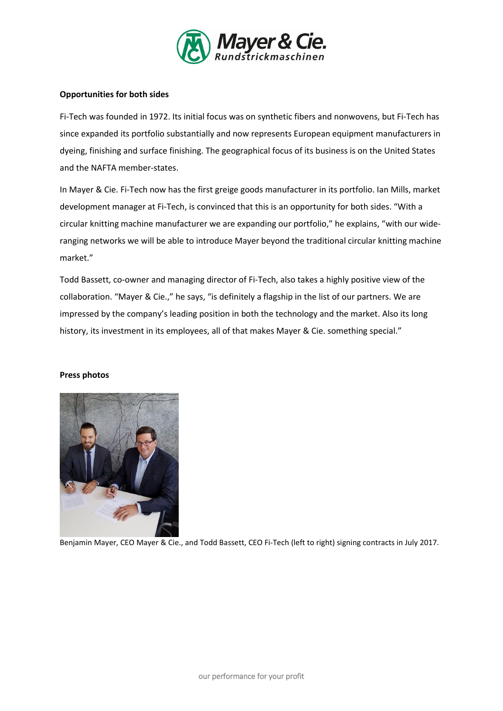

## Opportunities for both sides

Fi-Tech was founded in 1972. Its initial focus was on synthetic fibers and nonwovens, but Fi-Tech has since expanded its portfolio substantially and now represents European equipment manufacturers in dyeing, finishing and surface finishing. The geographical focus of its business is on the United States and the NAFTA member-states.

In Mayer & Cie. Fi-Tech now has the first greige goods manufacturer in its portfolio. Ian Mills, market development manager at Fi-Tech, is convinced that this is an opportunity for both sides. "With a circular knitting machine manufacturer we are expanding our portfolio," he explains, "with our wideranging networks we will be able to introduce Mayer beyond the traditional circular knitting machine market."

Todd Bassett, co-owner and managing director of Fi-Tech, also takes a highly positive view of the collaboration. "Mayer & Cie.," he says, "is definitely a flagship in the list of our partners. We are impressed by the company's leading position in both the technology and the market. Also its long history, its investment in its employees, all of that makes Mayer & Cie. something special."

### Press photos



Benjamin Mayer, CEO Mayer & Cie., and Todd Bassett, CEO Fi-Tech (left to right) signing contracts in July 2017.